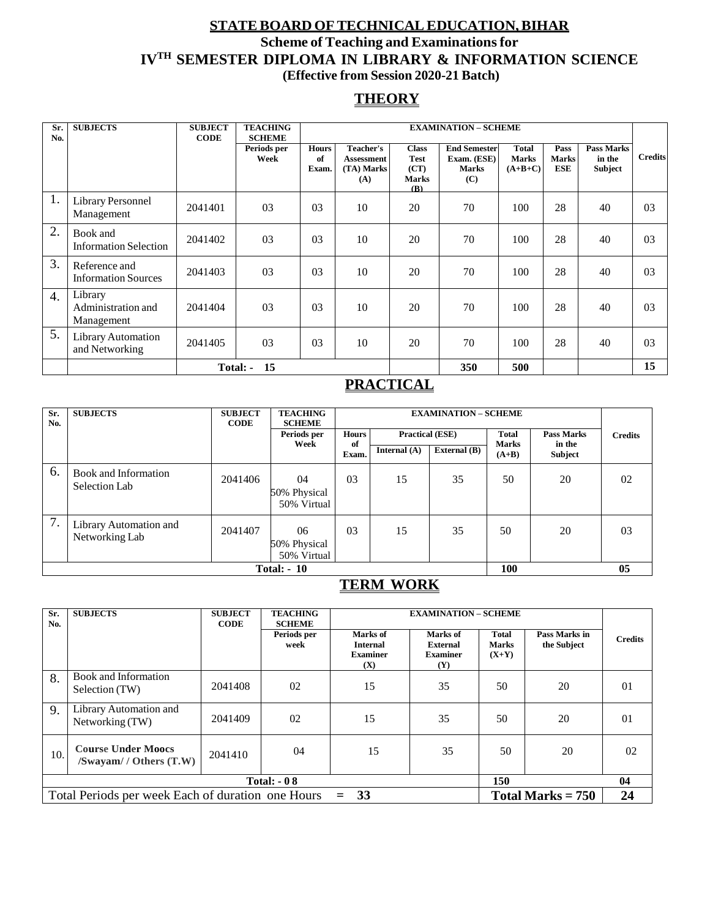## **STATEBOARD OFTECHNICALEDUCATION,BIHAR Scheme of Teaching and Examinationsfor IVTH SEMESTER DIPLOMA IN LIBRARY & INFORMATION SCIENCE (Effective from Session 2020-21 Batch)**

## **THEORY**

| Sr.<br>No.       | <b>SUBJECTS</b>                             | <b>SUBJECT</b><br><b>CODE</b> | <b>TEACHING</b><br><b>SCHEME</b> |                             |                                                            |                                                                   | <b>EXAMINATION - SCHEME</b>                               |                                           |                             |                                 |                |
|------------------|---------------------------------------------|-------------------------------|----------------------------------|-----------------------------|------------------------------------------------------------|-------------------------------------------------------------------|-----------------------------------------------------------|-------------------------------------------|-----------------------------|---------------------------------|----------------|
|                  |                                             |                               | Periods per<br>Week              | <b>Hours</b><br>of<br>Exam. | <b>Teacher's</b><br><b>Assessment</b><br>(TA) Marks<br>(A) | <b>Class</b><br><b>Test</b><br>(CT)<br><b>Marks</b><br><b>(B)</b> | <b>End Semester</b><br>Exam. (ESE)<br><b>Marks</b><br>(C) | <b>Total</b><br><b>Marks</b><br>$(A+B+C)$ | Pass<br><b>Marks</b><br>ESE | Pass Marks<br>in the<br>Subject | <b>Credits</b> |
| 1.               | Library Personnel<br>Management             | 2041401                       | 03                               | 0 <sub>3</sub>              | 10                                                         | 20                                                                | 70                                                        | 100                                       | 28                          | 40                              | 03             |
| 2.               | Book and<br><b>Information Selection</b>    | 2041402                       | 03                               | 03                          | 10                                                         | 20                                                                | 70                                                        | 100                                       | 28                          | 40                              | 03             |
| 3.               | Reference and<br><b>Information Sources</b> | 2041403                       | 03                               | 0 <sup>3</sup>              | 10                                                         | 20                                                                | 70                                                        | 100                                       | 28                          | 40                              | 03             |
| $\overline{4}$ . | Library<br>Administration and<br>Management | 2041404                       | 03                               | 0 <sub>3</sub>              | 10                                                         | 20                                                                | 70                                                        | 100                                       | 28                          | 40                              | 03             |
| 5.               | Library Automation<br>and Networking        | 2041405                       | 03                               | 0 <sub>3</sub>              | 10                                                         | 20                                                                | 70                                                        | 100                                       | 28                          | 40                              | 03             |
|                  |                                             |                               | 15<br>Total: -                   |                             |                                                            |                                                                   | 350                                                       | 500                                       |                             |                                 | 15             |

## **PRACTICAL**

| Sr.<br>No. | <b>SUBJECTS</b>                          | <b>SUBJECT</b><br><b>CODE</b> | <b>TEACHING</b><br><b>SCHEME</b>  |                    | <b>EXAMINATION - SCHEME</b> |                        |                         |                             |                |
|------------|------------------------------------------|-------------------------------|-----------------------------------|--------------------|-----------------------------|------------------------|-------------------------|-----------------------------|----------------|
|            |                                          |                               | Periods per<br>Week               | <b>Hours</b><br>of |                             | <b>Practical (ESE)</b> |                         | <b>Pass Marks</b><br>in the | <b>Credits</b> |
|            |                                          |                               |                                   | Exam.              | Internal $(A)$              | External (B)           | <b>Marks</b><br>$(A+B)$ | Subject                     |                |
| 6.         | Book and Information<br>Selection Lab    | 2041406                       | 04<br>50% Physical<br>50% Virtual | 03                 | 15                          | 35                     | 50                      | 20                          | 02             |
| 7.         | Library Automation and<br>Networking Lab | 2041407                       | 06<br>50% Physical<br>50% Virtual | 03                 | 15                          | 35                     | 50                      | 20                          | 03             |
|            | 05<br><b>100</b><br><b>Total: - 10</b>   |                               |                                   |                    |                             |                        |                         |                             |                |

## **TERM WORK**

| Sr.<br>No.                  | <b>SUBJECTS</b>                                                                       | <b>SUBJECT</b><br><b>CODE</b> | <b>TEACHING</b><br><b>SCHEME</b> |                                                       | <b>EXAMINATION - SCHEME</b>                           |                                         |                              |                |
|-----------------------------|---------------------------------------------------------------------------------------|-------------------------------|----------------------------------|-------------------------------------------------------|-------------------------------------------------------|-----------------------------------------|------------------------------|----------------|
|                             |                                                                                       |                               | Periods per<br>week              | Marks of<br><b>Internal</b><br><b>Examiner</b><br>(X) | Marks of<br>External<br><b>Examiner</b><br><b>(Y)</b> | <b>Total</b><br><b>Marks</b><br>$(X+Y)$ | Pass Marks in<br>the Subject | <b>Credits</b> |
| 8.                          | <b>Book and Information</b><br>Selection (TW)                                         | 2041408                       | 02                               | 15                                                    | 35                                                    | 50                                      | 20                           | 01             |
| 9.                          | Library Automation and<br>Networking (TW)                                             | 2041409                       | 02                               | 15                                                    | 35                                                    | 50                                      | 20                           | 01             |
| 10.                         | <b>Course Under Moocs</b><br>$/Swavam /$ Others $(T.W)$                               | 2041410                       | 04                               | 15                                                    | 35                                                    | 50                                      | 20                           | 02             |
| <b>150</b><br>Total: $-0.8$ |                                                                                       |                               |                                  |                                                       |                                                       |                                         | 04                           |                |
|                             | Total Marks $= 750$<br>33<br>Total Periods per week Each of duration one Hours<br>$=$ |                               |                                  |                                                       |                                                       |                                         |                              | 24             |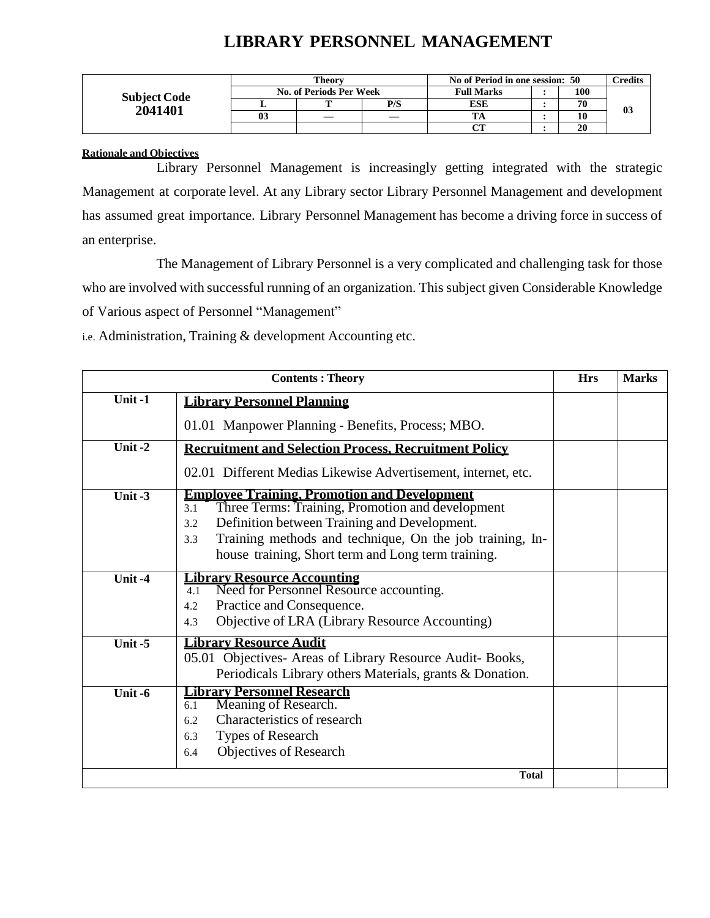# **LIBRARY PERSONNEL MANAGEMENT**

|                     | Theory                  |     | No of Period in one session: 50 |  |    | <b>Credits</b> |
|---------------------|-------------------------|-----|---------------------------------|--|----|----------------|
|                     | No. of Periods Per Week |     | <b>Full Marks</b>               |  |    |                |
| <b>Subject Code</b> | m                       | P/S | <b>ESE</b>                      |  | 70 |                |
| 2041401             |                         |     |                                 |  | 10 | 03             |
|                     |                         |     | $\alpha$                        |  | 20 |                |

### **Rationale and Objectives**

Library Personnel Management is increasingly getting integrated with the strategic Management at corporate level. At any Library sector Library Personnel Management and development has assumed great importance. Library Personnel Management has become a driving force in success of an enterprise.

The Management of Library Personnel is a very complicated and challenging task for those who are involved with successful running of an organization. This subject given Considerable Knowledge of Various aspect of Personnel "Management"

i.e. Administration, Training & development Accounting etc.

|         | <b>Contents: Theory</b>                                                                                                                                                                                                                                                                        | <b>Hrs</b> | <b>Marks</b> |
|---------|------------------------------------------------------------------------------------------------------------------------------------------------------------------------------------------------------------------------------------------------------------------------------------------------|------------|--------------|
| Unit-1  | <b>Library Personnel Planning</b>                                                                                                                                                                                                                                                              |            |              |
|         | 01.01 Manpower Planning - Benefits, Process; MBO.                                                                                                                                                                                                                                              |            |              |
| Unit-2  | <b>Recruitment and Selection Process, Recruitment Policy</b>                                                                                                                                                                                                                                   |            |              |
|         | 02.01 Different Medias Likewise Advertisement, internet, etc.                                                                                                                                                                                                                                  |            |              |
| Unit-3  | <b>Employee Training, Promotion and Development</b><br>Three Terms: Training, Promotion and development<br>3.1<br>Definition between Training and Development.<br>3.2<br>Training methods and technique, On the job training, In-<br>3.3<br>house training, Short term and Long term training. |            |              |
| Unit-4  | <b>Library Resource Accounting</b><br>Need for Personnel Resource accounting.<br>4.1<br>Practice and Consequence.<br>4.2<br>Objective of LRA (Library Resource Accounting)<br>4.3                                                                                                              |            |              |
| Unit-5  | <b>Library Resource Audit</b><br>05.01 Objectives- Areas of Library Resource Audit- Books,<br>Periodicals Library others Materials, grants & Donation.                                                                                                                                         |            |              |
| Unit -6 | <b>Library Personnel Research</b><br>Meaning of Research.<br>6.1<br>Characteristics of research<br>6.2<br>Types of Research<br>6.3<br>Objectives of Research<br>6.4                                                                                                                            |            |              |
|         | <b>Total</b>                                                                                                                                                                                                                                                                                   |            |              |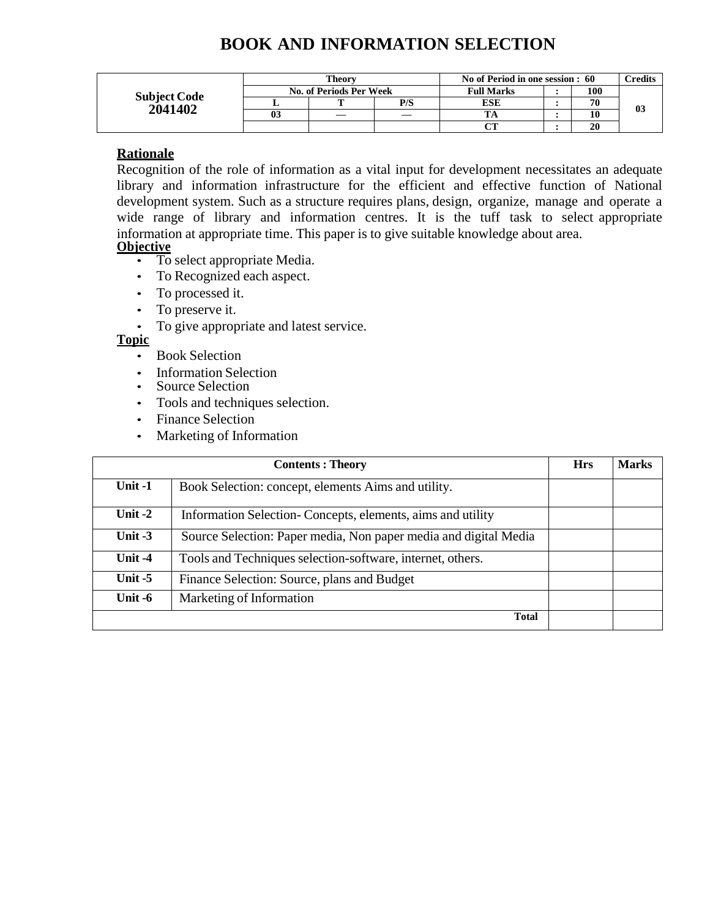# **BOOK AND INFORMATION SELECTION**

|                     |    | <b>Theory</b>           |     | No of Period in one session : 60 |  |    | <b>Predits</b> |
|---------------------|----|-------------------------|-----|----------------------------------|--|----|----------------|
| <b>Subject Code</b> |    | No. of Periods Per Week |     | <b>Full Marks</b>                |  |    |                |
| 2041402             |    |                         | P/S | <b>ESE</b>                       |  | 70 | 03             |
|                     | U3 |                         |     |                                  |  |    |                |
|                     |    |                         |     | $\sim$                           |  | 20 |                |

### **Rationale**

Recognition of the role of information as a vital input for development necessitates an adequate library and information infrastructure for the efficient and effective function of National development system. Such as a structure requires plans, design, organize, manage and operate a wide range of library and information centres. It is the tuff task to select appropriate information at appropriate time. This paper is to give suitable knowledge about area. **Objective**

- To select appropriate Media.
- To Recognized each aspect.
- To processed it.
- To preserve it.
- To give appropriate and latest service.
- **Topic**
	- Book Selection
	- **Information Selection**
	- Source Selection
	- Tools and techniques selection.
	- Finance Selection
	- Marketing of Information

|           | <b>Contents: Theory</b>                                          |  |  |  |  |  |  |
|-----------|------------------------------------------------------------------|--|--|--|--|--|--|
| Unit -1   | Book Selection: concept, elements Aims and utility.              |  |  |  |  |  |  |
| Unit $-2$ | Information Selection-Concepts, elements, aims and utility       |  |  |  |  |  |  |
| Unit $-3$ | Source Selection: Paper media, Non paper media and digital Media |  |  |  |  |  |  |
| Unit $-4$ | Tools and Techniques selection-software, internet, others.       |  |  |  |  |  |  |
| Unit $-5$ | Finance Selection: Source, plans and Budget                      |  |  |  |  |  |  |
| Unit -6   | Marketing of Information                                         |  |  |  |  |  |  |
|           | <b>Total</b>                                                     |  |  |  |  |  |  |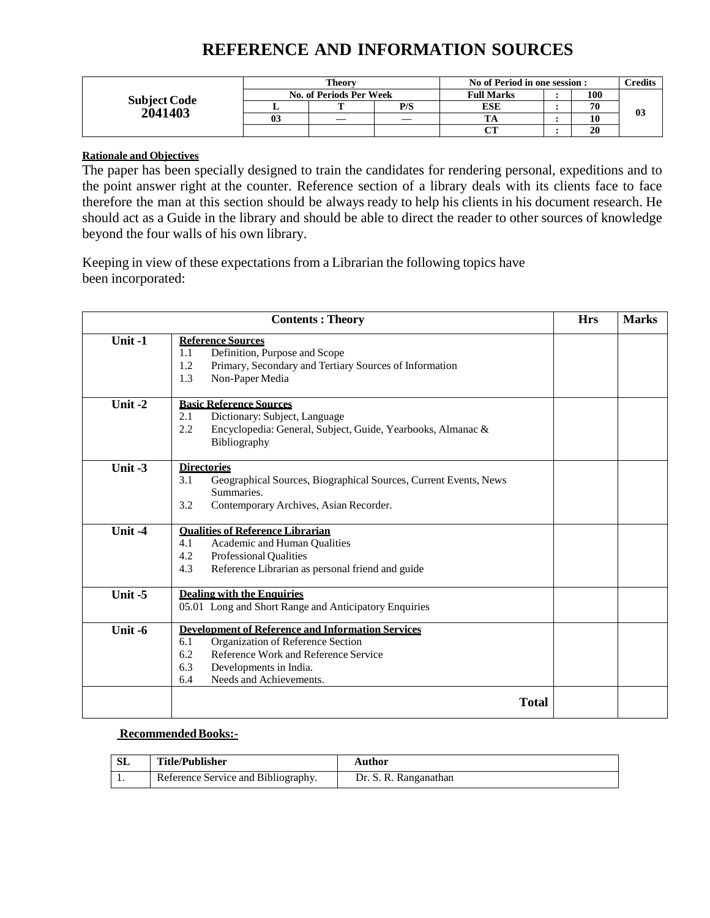# **REFERENCE AND INFORMATION SOURCES**

|                     |                | <b>Theory</b>           |     | No of Period in one session : | <b>Predits</b> |     |    |
|---------------------|----------------|-------------------------|-----|-------------------------------|----------------|-----|----|
| <b>Subject Code</b> |                | No. of Periods Per Week |     | <b>Full Marks</b>             |                | 100 |    |
| 2041403             |                |                         | P/S | ESE                           | 70             |     | 03 |
|                     | 0 <sup>3</sup> |                         |     |                               |                | 10  |    |
|                     |                |                         |     |                               |                | 20  |    |

### **Rationale and Objectives**

The paper has been specially designed to train the candidates for rendering personal, expeditions and to the point answer right at the counter. Reference section of a library deals with its clients face to face therefore the man at this section should be always ready to help his clients in his document research. He should act as a Guide in the library and should be able to direct the reader to other sources of knowledge beyond the four walls of his own library.

Keeping in view of these expectations from a Librarian the following topics have been incorporated:

|           | <b>Contents: Theory</b>                                                                                                                                                                                                | <b>Hrs</b> | <b>Marks</b> |
|-----------|------------------------------------------------------------------------------------------------------------------------------------------------------------------------------------------------------------------------|------------|--------------|
| Unit-1    | <b>Reference Sources</b><br>Definition, Purpose and Scope<br>1.1<br>1.2<br>Primary, Secondary and Tertiary Sources of Information<br>1.3<br>Non-Paper Media                                                            |            |              |
| Unit $-2$ | <b>Basic Reference Sources</b><br>2.1<br>Dictionary: Subject, Language<br>2.2<br>Encyclopedia: General, Subject, Guide, Yearbooks, Almanac &<br>Bibliography                                                           |            |              |
| Unit $-3$ | <b>Directories</b><br>3.1<br>Geographical Sources, Biographical Sources, Current Events, News<br>Summaries.<br>3.2<br>Contemporary Archives, Asian Recorder.                                                           |            |              |
| Unit $-4$ | <b>Oualities of Reference Librarian</b><br>4.1<br>Academic and Human Qualities<br>4.2<br><b>Professional Qualities</b><br>Reference Librarian as personal friend and guide<br>4.3                                      |            |              |
| Unit $-5$ | <b>Dealing with the Enquiries</b><br>05.01 Long and Short Range and Anticipatory Enquiries                                                                                                                             |            |              |
| Unit -6   | <b>Development of Reference and Information Services</b><br>Organization of Reference Section<br>6.1<br>Reference Work and Reference Service<br>6.2<br>6.3<br>Developments in India.<br>6.4<br>Needs and Achievements. |            |              |
|           | <b>Total</b>                                                                                                                                                                                                           |            |              |

### **Recommended Books:-**

| ЭL | Title/Publisher                     | Author                |
|----|-------------------------------------|-----------------------|
|    | Reference Service and Bibliography. | Dr. S. R. Ranganathan |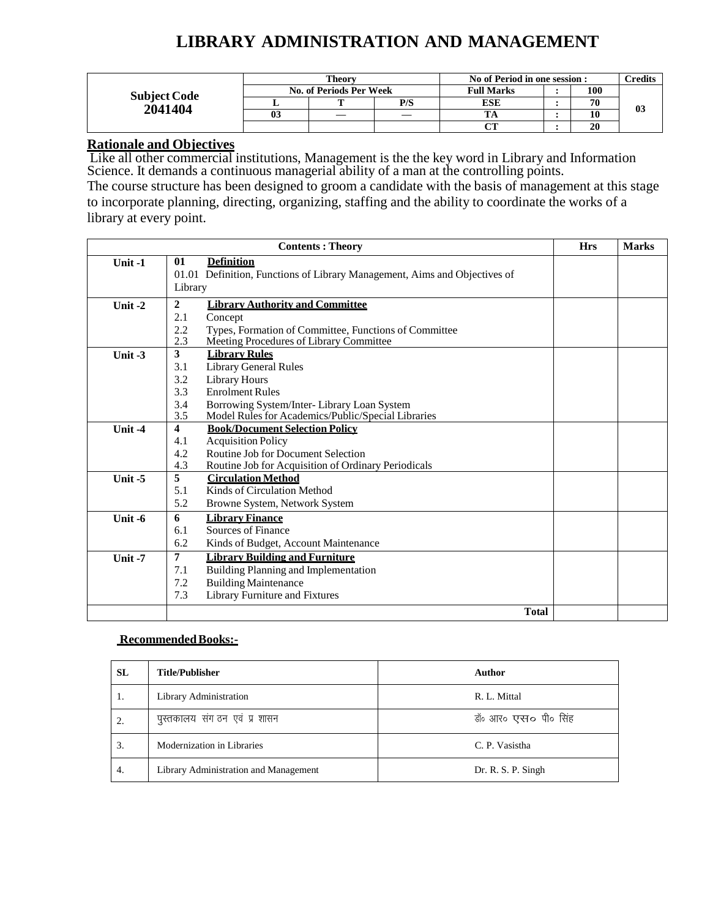# **LIBRARY ADMINISTRATION AND MANAGEMENT**

|                     |    | <b>Theory</b>           |     | No of Period in one session : |  |    | $T$ redits     |
|---------------------|----|-------------------------|-----|-------------------------------|--|----|----------------|
| <b>Subject Code</b> |    | No. of Periods Per Week |     | 100<br><b>Full Marks</b>      |  |    |                |
| 2041404             |    |                         | P/S | ESE                           |  | 70 | 0 <sub>3</sub> |
|                     | 03 |                         |     |                               |  |    |                |
|                     |    |                         |     | $\sim$                        |  | 20 |                |

### **Rationale and Objectives**

Like all other commercial institutions, Management is the the key word in Library and Information Science. It demands a continuous managerial ability of a man at the controlling points.

The course structure has been designed to groom a candidate with the basis of management at this stage to incorporate planning, directing, organizing, staffing and the ability to coordinate the works of a library at every point.

|           |                         | <b>Contents: Theory</b>                                                   |              | <b>Hrs</b> | <b>Marks</b> |
|-----------|-------------------------|---------------------------------------------------------------------------|--------------|------------|--------------|
| Unit $-1$ | 01                      | <b>Definition</b>                                                         |              |            |              |
|           | Library                 | 01.01 Definition, Functions of Library Management, Aims and Objectives of |              |            |              |
| Unit $-2$ | $\mathbf{2}$            | <b>Library Authority and Committee</b>                                    |              |            |              |
|           | 2.1                     | Concept                                                                   |              |            |              |
|           | 2.2                     | Types, Formation of Committee, Functions of Committee                     |              |            |              |
|           | 2.3                     | Meeting Procedures of Library Committee                                   |              |            |              |
| Unit $-3$ | 3                       | <b>Library Rules</b>                                                      |              |            |              |
|           | 3.1                     | <b>Library General Rules</b>                                              |              |            |              |
|           | 3.2                     | Library Hours                                                             |              |            |              |
|           | 3.3                     | <b>Enrolment Rules</b>                                                    |              |            |              |
|           | 3.4                     | Borrowing System/Inter-Library Loan System                                |              |            |              |
|           | 3.5                     | Model Rules for Academics/Public/Special Libraries                        |              |            |              |
| Unit $-4$ | $\overline{\mathbf{4}}$ | <b>Book/Document Selection Policy</b>                                     |              |            |              |
|           | 4.1                     | <b>Acquisition Policy</b>                                                 |              |            |              |
|           | 4.2                     | Routine Job for Document Selection                                        |              |            |              |
|           | 4.3<br>5                | Routine Job for Acquisition of Ordinary Periodicals                       |              |            |              |
| Unit $-5$ | 5.1                     | <b>Circulation Method</b><br>Kinds of Circulation Method                  |              |            |              |
|           | 5.2                     |                                                                           |              |            |              |
|           |                         | Browne System, Network System                                             |              |            |              |
| Unit $-6$ | 6<br>6.1                | <b>Library Finance</b><br>Sources of Finance                              |              |            |              |
|           | 6.2                     |                                                                           |              |            |              |
|           |                         | Kinds of Budget, Account Maintenance                                      |              |            |              |
| Unit $-7$ | 7                       | <b>Library Building and Furniture</b>                                     |              |            |              |
|           | 7.1                     | Building Planning and Implementation                                      |              |            |              |
|           | 7.2                     | <b>Building Maintenance</b>                                               |              |            |              |
|           | 7.3                     | Library Furniture and Fixtures                                            |              |            |              |
|           |                         |                                                                           | <b>Total</b> |            |              |

#### **Recommended Books:-**

| SL | Title/Publisher                       | <b>Author</b>                 |
|----|---------------------------------------|-------------------------------|
| 1. | Library Administration                | R. L. Mittal                  |
| 2. | पुस्तकालय संग ठन एवं प्र शासन         | डॉ॰ आर <b>० एस० पी</b> ० सिंह |
| 3. | Modernization in Libraries            | C. P. Vasistha                |
| 4. | Library Administration and Management | Dr. R. S. P. Singh            |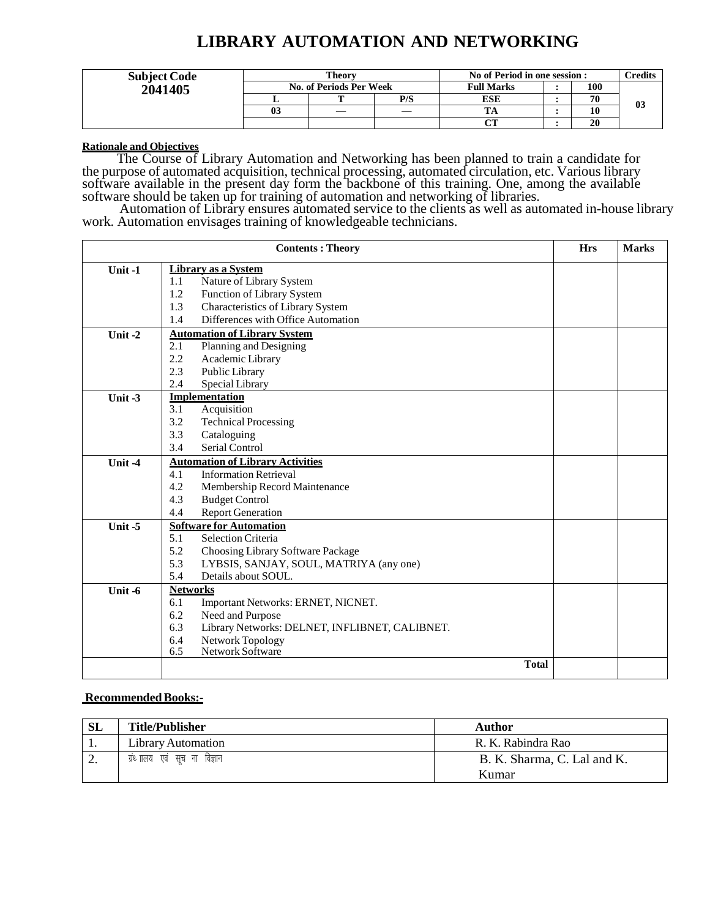# **LIBRARY AUTOMATION AND NETWORKING**

| <b>Subject Code</b> | Theorv                  |  |     | No of Period in one session : |  |     | $\gamma$ redits |
|---------------------|-------------------------|--|-----|-------------------------------|--|-----|-----------------|
| 2041405             | No. of Periods Per Week |  |     | <b>Full Marks</b>             |  | 100 |                 |
|                     |                         |  | P/S | ESE                           |  | 70  | 03              |
|                     | 03                      |  |     |                               |  | 10  |                 |
|                     |                         |  |     | $\sim$                        |  | 20  |                 |

#### **Rationale and Objectives**

The Course of Library Automation and Networking has been planned to train a candidate for the purpose of automated acquisition, technical processing, automated circulation, etc. Various library software available in the present day form the backbone of this training. One, among the available software should be taken up for training of automation and networking of libraries.

Automation of Library ensures automated service to the clients as well as automated in-house library work. Automation envisages training of knowledgeable technicians.

|                             | <b>Contents: Theory</b>                               | <b>Hrs</b> | <b>Marks</b> |
|-----------------------------|-------------------------------------------------------|------------|--------------|
| Unit-1                      | Library as a System                                   |            |              |
|                             | 1.1<br>Nature of Library System                       |            |              |
|                             | 1.2<br>Function of Library System                     |            |              |
|                             | Characteristics of Library System<br>1.3              |            |              |
|                             | Differences with Office Automation<br>1.4             |            |              |
| $\overline{\text{Unit}}$ -2 | <b>Automation of Library System</b>                   |            |              |
|                             | Planning and Designing<br>2.1                         |            |              |
|                             | 2.2<br>Academic Library                               |            |              |
|                             | 2.3<br>Public Library                                 |            |              |
|                             | 2.4<br>Special Library                                |            |              |
| Unit-3                      | <b>Implementation</b>                                 |            |              |
|                             | Acquisition<br>3.1                                    |            |              |
|                             | 3.2<br><b>Technical Processing</b>                    |            |              |
|                             | 3.3<br>Cataloguing                                    |            |              |
|                             | 3.4<br>Serial Control                                 |            |              |
| Unit $-4$                   | <b>Automation of Library Activities</b>               |            |              |
|                             | <b>Information Retrieval</b><br>4.1                   |            |              |
|                             | 4.2<br>Membership Record Maintenance                  |            |              |
|                             | 4.3<br><b>Budget Control</b>                          |            |              |
|                             | 4.4<br><b>Report Generation</b>                       |            |              |
| Unit $-5$                   | <b>Software for Automation</b>                        |            |              |
|                             | <b>Selection Criteria</b><br>5.1                      |            |              |
|                             | 5.2<br>Choosing Library Software Package              |            |              |
|                             | 5.3<br>LYBSIS, SANJAY, SOUL, MATRIYA (any one)        |            |              |
|                             | 5.4<br>Details about SOUL.                            |            |              |
| Unit $-6$                   | <b>Networks</b>                                       |            |              |
|                             | 6.1<br>Important Networks: ERNET, NICNET.             |            |              |
|                             | 6.2<br>Need and Purpose                               |            |              |
|                             | 6.3<br>Library Networks: DELNET, INFLIBNET, CALIBNET. |            |              |
|                             | 6.4<br>Network Topology                               |            |              |
|                             | Network Software<br>6.5                               |            |              |
|                             | <b>Total</b>                                          |            |              |

#### **Recommended Books:-**

| <b>SL</b> | <b>Title/Publisher</b>       | Author                      |
|-----------|------------------------------|-----------------------------|
| . .       | Library Automation           | R. K. Rabindra Rao          |
| <u>.</u>  | ग्रंथ ालय एवं सूच ना विज्ञान | B. K. Sharma, C. Lal and K. |
|           |                              | Kumar                       |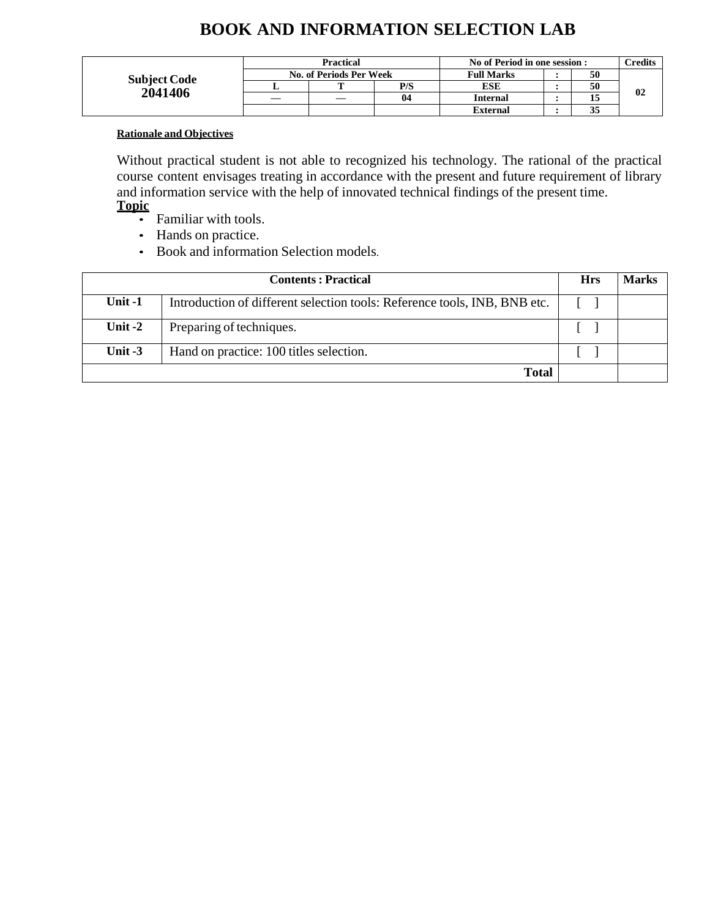# **BOOK AND INFORMATION SELECTION LAB**

|                     | <b>Practical</b>        |   |     | No of Period in one session : |  |    | <b>Predits</b> |
|---------------------|-------------------------|---|-----|-------------------------------|--|----|----------------|
| <b>Subject Code</b> | No. of Periods Per Week |   |     | <b>Full Marks</b>             |  | 50 |                |
|                     |                         | m | P/S | <b>ESE</b>                    |  | 50 |                |
| 2041406             |                         |   | 04  | <b>Internal</b>               |  |    | 02             |
|                     |                         |   |     | <b>External</b>               |  | 33 |                |

### **Rationale and Objectives**

Without practical student is not able to recognized his technology. The rational of the practical course content envisages treating in accordance with the present and future requirement of library and information service with the help of innovated technical findings of the present time. **Topic**

- Familiar with tools.
- Hands on practice.
- Book and information Selection models.

|           | <b>Contents: Practical</b>                                                |  |  |  |
|-----------|---------------------------------------------------------------------------|--|--|--|
| Unit $-1$ | Introduction of different selection tools: Reference tools, INB, BNB etc. |  |  |  |
| Unit $-2$ | Preparing of techniques.                                                  |  |  |  |
| Unit $-3$ | Hand on practice: 100 titles selection.                                   |  |  |  |
|           | <b>Total</b>                                                              |  |  |  |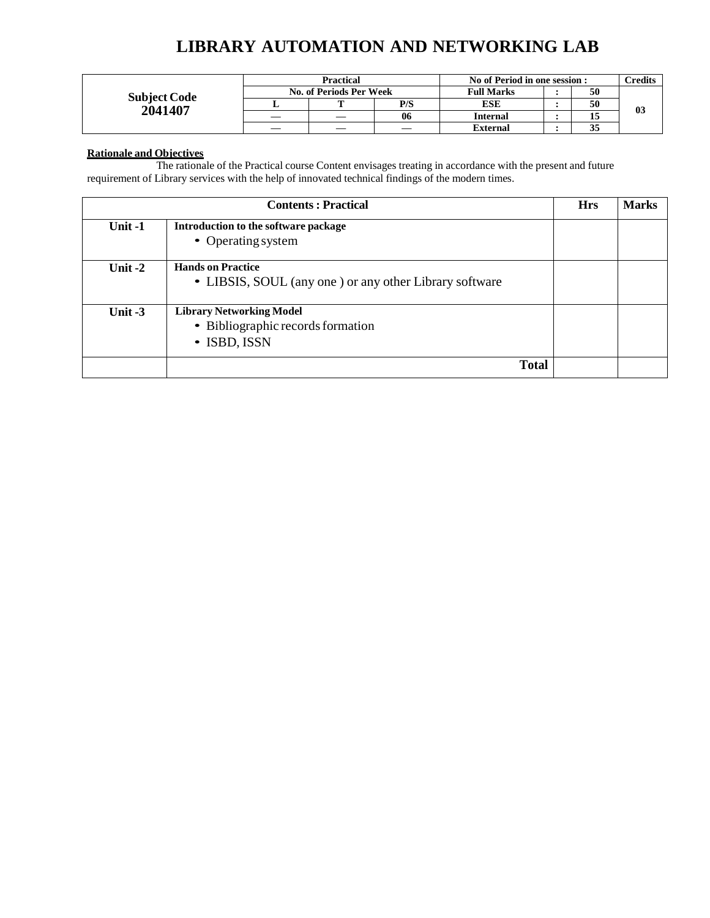# **LIBRARY AUTOMATION AND NETWORKING LAB**

|                                | <b>Practical</b>        |  |     | No of Period in one session : |  |    | <b>Predits</b> |
|--------------------------------|-------------------------|--|-----|-------------------------------|--|----|----------------|
|                                | No. of Periods Per Week |  |     | <b>Full Marks</b>             |  | 50 |                |
| <b>Subject Code</b><br>2041407 |                         |  | P/S | ESE                           |  | 50 |                |
|                                |                         |  | 06  | Internal                      |  |    | 03             |
|                                |                         |  |     | <b>External</b>               |  | 35 |                |

#### **Rationale and Objectives**

The rationale of the Practical course Content envisages treating in accordance with the present and future requirement of Library services with the help of innovated technical findings of the modern times.

|           | <b>Contents: Practical</b>                                                           | <b>Hrs</b> | <b>Marks</b> |
|-----------|--------------------------------------------------------------------------------------|------------|--------------|
| Unit-1    | Introduction to the software package<br>• Operating system                           |            |              |
| Unit $-2$ | <b>Hands on Practice</b><br>• LIBSIS, SOUL (any one) or any other Library software   |            |              |
| Unit $-3$ | <b>Library Networking Model</b><br>• Bibliographic records formation<br>• ISBD, ISSN |            |              |
|           | <b>Total</b>                                                                         |            |              |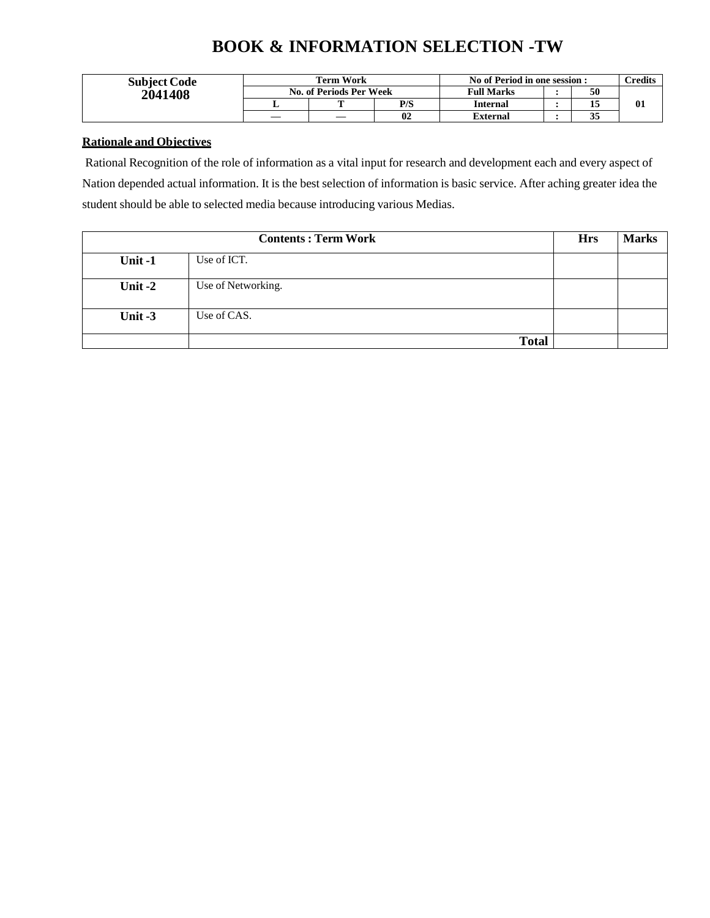# **BOOK & INFORMATION SELECTION -TW**

| <b>Subject Code</b> | <b>Term Work</b>        |  |     | No of Period in one session : |  |    | <b>Predits</b> |
|---------------------|-------------------------|--|-----|-------------------------------|--|----|----------------|
| 2041408             | No. of Periods Per Week |  |     | <b>Full Marks</b>             |  | 50 |                |
|                     |                         |  | P/S | Internal                      |  | 15 | 01             |
|                     |                         |  | 02  | External                      |  | 35 |                |

### **Rationale and Objectives**

Rational Recognition of the role of information as a vital input for research and development each and every aspect of Nation depended actual information. It is the best selection of information is basic service. After aching greater idea the student should be able to selected media because introducing various Medias.

|           | <b>Contents: Term Work</b> |  |  |  |
|-----------|----------------------------|--|--|--|
| Unit-1    | Use of ICT.                |  |  |  |
| Unit $-2$ | Use of Networking.         |  |  |  |
| Unit $-3$ | Use of CAS.                |  |  |  |
|           | <b>Total</b>               |  |  |  |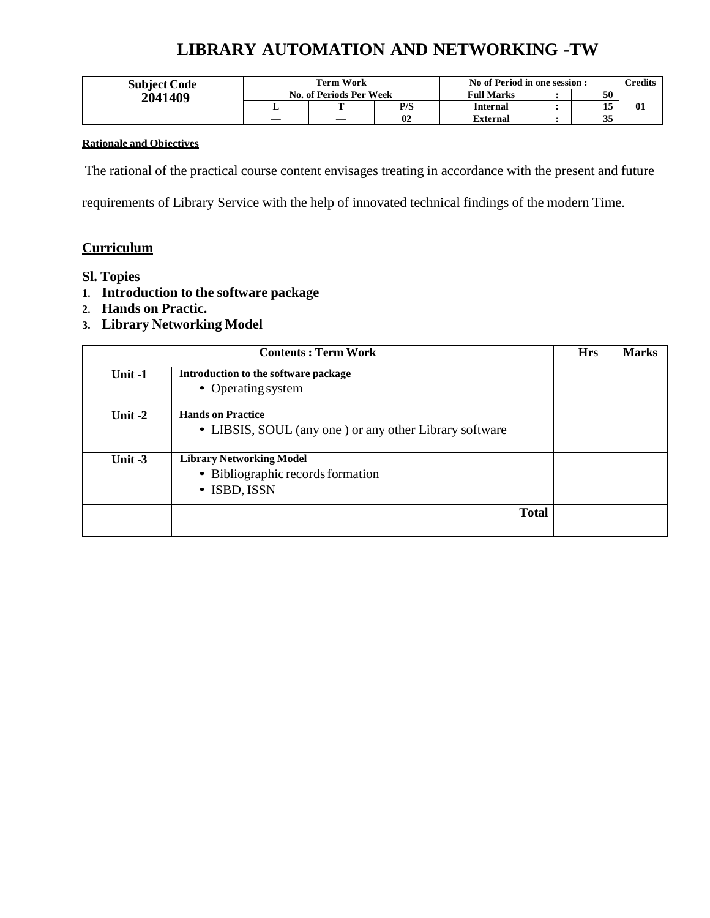# **LIBRARY AUTOMATION AND NETWORKING -TW**

| <b>Subject Code</b> | Term Work               |  |     | No of Period in one session : |  |          | $1$ redits |
|---------------------|-------------------------|--|-----|-------------------------------|--|----------|------------|
| 2041409             | No. of Periods Per Week |  |     | <b>Full Marks</b>             |  | 50       |            |
|                     |                         |  | P/S | <b>Internal</b>               |  | 15<br>⊥J | -01        |
|                     |                         |  | 02  | <b>External</b>               |  | 35       |            |

### **Rationale and Objectives**

The rational of the practical course content envisages treating in accordance with the present and future

requirements of Library Service with the help of innovated technical findings of the modern Time.

### **Curriculum**

### **Sl. Topies**

- **1. Introduction to the software package**
- **2. Hands on Practic.**
- **3. Library Networking Model**

|           | <b>Contents: Term Work</b>                             | <b>Hrs</b> | <b>Marks</b> |
|-----------|--------------------------------------------------------|------------|--------------|
| Unit $-1$ | Introduction to the software package                   |            |              |
|           | • Operating system                                     |            |              |
| Unit $-2$ | <b>Hands on Practice</b>                               |            |              |
|           | • LIBSIS, SOUL (any one) or any other Library software |            |              |
| Unit $-3$ | <b>Library Networking Model</b>                        |            |              |
|           | • Bibliographic records formation                      |            |              |
|           | • ISBD, ISSN                                           |            |              |
|           | <b>Total</b>                                           |            |              |